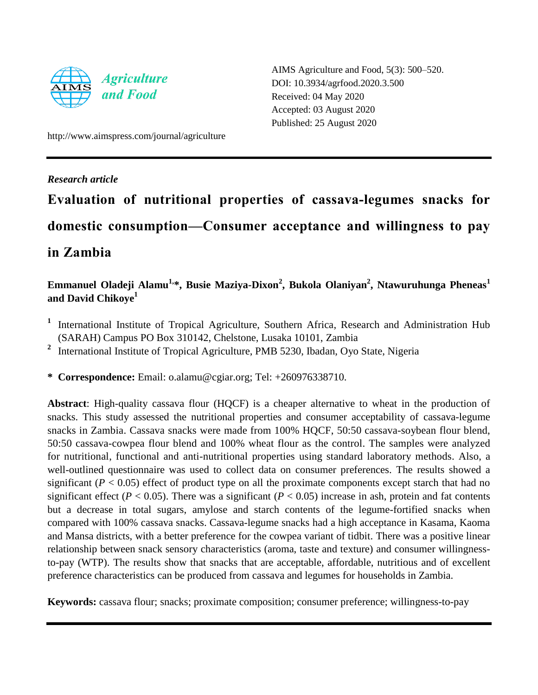

AIMS Agriculture and Food, 5(3): 500–520. DOI: 10.3934/agrfood.2020.3.500 Received: 04 May 2020 Accepted: 03 August 2020 Published: 25 August 2020

http://www.aimspress.com/journal/agriculture

## *Research article*

# **Evaluation of nutritional properties of cassava-legumes snacks for domestic consumption—Consumer acceptance and willingness to pay in Zambia**

## **Emmanuel Oladeji Alamu1, \*, Busie Maziya-Dixon<sup>2</sup> , Bukola Olaniyan<sup>2</sup> , Ntawuruhunga Pheneas<sup>1</sup> and David Chikoye<sup>1</sup>**

- <sup>1</sup> International Institute of Tropical Agriculture, Southern Africa, Research and Administration Hub (SARAH) Campus PO Box 310142, Chelstone, Lusaka 10101, Zambia
- <sup>2</sup> International Institute of Tropical Agriculture, PMB 5230, Ibadan, Oyo State, Nigeria

**\* Correspondence:** Email: o.alamu@cgiar.org; Tel: +260976338710.

**Abstract**: High-quality cassava flour (HQCF) is a cheaper alternative to wheat in the production of snacks. This study assessed the nutritional properties and consumer acceptability of cassava-legume snacks in Zambia. Cassava snacks were made from 100% HQCF, 50:50 cassava-soybean flour blend, 50:50 cassava-cowpea flour blend and 100% wheat flour as the control. The samples were analyzed for nutritional, functional and anti-nutritional properties using standard laboratory methods. Also, a well-outlined questionnaire was used to collect data on consumer preferences. The results showed a significant ( $P < 0.05$ ) effect of product type on all the proximate components except starch that had no significant effect ( $P < 0.05$ ). There was a significant ( $P < 0.05$ ) increase in ash, protein and fat contents but a decrease in total sugars, amylose and starch contents of the legume-fortified snacks when compared with 100% cassava snacks. Cassava-legume snacks had a high acceptance in Kasama, Kaoma and Mansa districts, with a better preference for the cowpea variant of tidbit. There was a positive linear relationship between snack sensory characteristics (aroma, taste and texture) and consumer willingnessto-pay (WTP). The results show that snacks that are acceptable, affordable, nutritious and of excellent preference characteristics can be produced from cassava and legumes for households in Zambia.

**Keywords:** cassava flour; snacks; proximate composition; consumer preference; willingness-to-pay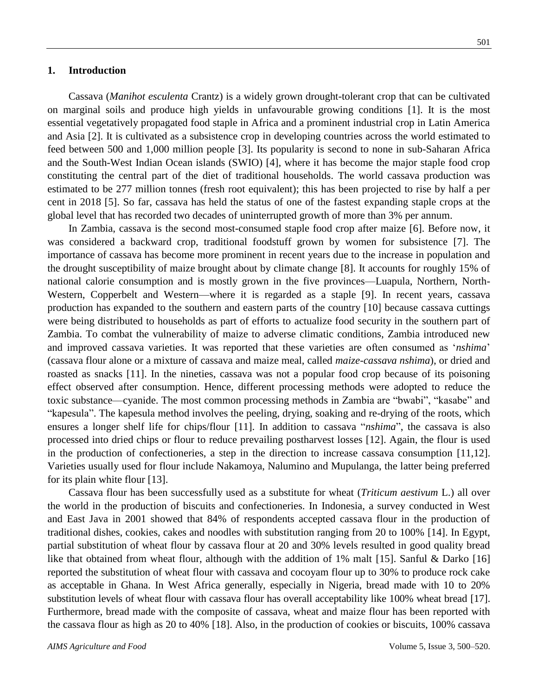#### **1. Introduction**

Cassava (*Manihot esculenta* Crantz) is a widely grown drought-tolerant crop that can be cultivated on marginal soils and produce high yields in unfavourable growing conditions [1]. It is the most essential vegetatively propagated food staple in Africa and a prominent industrial crop in Latin America and Asia [2]. It is cultivated as a subsistence crop in developing countries across the world estimated to feed between 500 and 1,000 million people [3]. Its popularity is second to none in sub-Saharan Africa and the South-West Indian Ocean islands (SWIO) [4], where it has become the major staple food crop constituting the central part of the diet of traditional households. The world cassava production was estimated to be 277 million tonnes (fresh root equivalent); this has been projected to rise by half a per cent in 2018 [5]. So far, cassava has held the status of one of the fastest expanding staple crops at the global level that has recorded two decades of uninterrupted growth of more than 3% per annum.

In Zambia, cassava is the second most-consumed staple food crop after maize [6]. Before now, it was considered a backward crop, traditional foodstuff grown by women for subsistence [7]. The importance of cassava has become more prominent in recent years due to the increase in population and the drought susceptibility of maize brought about by climate change [8]. It accounts for roughly 15% of national calorie consumption and is mostly grown in the five provinces—Luapula, Northern, North-Western, Copperbelt and Western—where it is regarded as a staple [9]. In recent years, cassava production has expanded to the southern and eastern parts of the country [10] because cassava cuttings were being distributed to households as part of efforts to actualize food security in the southern part of Zambia. To combat the vulnerability of maize to adverse climatic conditions, Zambia introduced new and improved cassava varieties. It was reported that these varieties are often consumed as '*nshima*' (cassava flour alone or a mixture of cassava and maize meal, called *maize-cassava nshima*), or dried and roasted as snacks [11]. In the nineties, cassava was not a popular food crop because of its poisoning effect observed after consumption. Hence, different processing methods were adopted to reduce the toxic substance—cyanide. The most common processing methods in Zambia are "bwabi", "kasabe" and ―kapesula‖. The kapesula method involves the peeling, drying, soaking and re-drying of the roots, which ensures a longer shelf life for chips/flour [11]. In addition to cassava "*nshima*", the cassava is also processed into dried chips or flour to reduce prevailing postharvest losses [12]. Again, the flour is used in the production of confectioneries, a step in the direction to increase cassava consumption [11,12]. Varieties usually used for flour include Nakamoya, Nalumino and Mupulanga, the latter being preferred for its plain white flour [13].

Cassava flour has been successfully used as a substitute for wheat (*Triticum aestivum* L.) all over the world in the production of biscuits and confectioneries. In Indonesia, a survey conducted in West and East Java in 2001 showed that 84% of respondents accepted cassava flour in the production of traditional dishes, cookies, cakes and noodles with substitution ranging from 20 to 100% [14]. In Egypt, partial substitution of wheat flour by cassava flour at 20 and 30% levels resulted in good quality bread like that obtained from wheat flour, although with the addition of 1% malt [15]. Sanful & Darko [16] reported the substitution of wheat flour with cassava and cocoyam flour up to 30% to produce rock cake as acceptable in Ghana. In West Africa generally, especially in Nigeria, bread made with 10 to 20% substitution levels of wheat flour with cassava flour has overall acceptability like 100% wheat bread [17]. Furthermore, bread made with the composite of cassava, wheat and maize flour has been reported with the cassava flour as high as 20 to 40% [18]. Also, in the production of cookies or biscuits, 100% cassava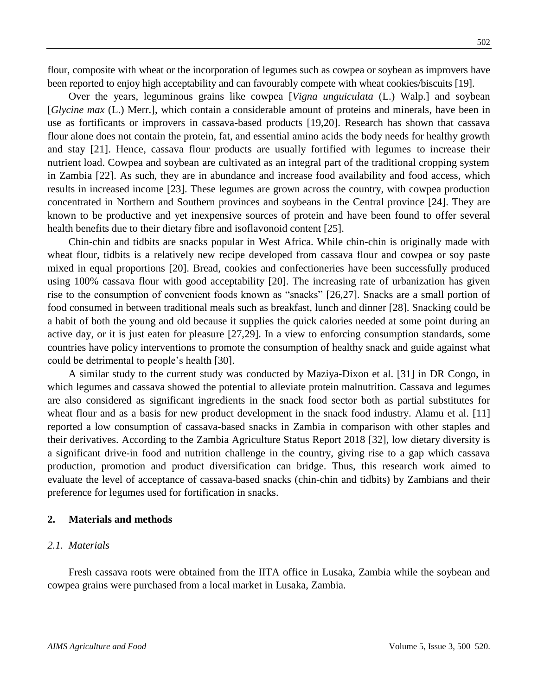flour, composite with wheat or the incorporation of legumes such as cowpea or soybean as improvers have been reported to enjoy high acceptability and can favourably compete with wheat cookies/biscuits [19].

Over the years, leguminous grains like cowpea [*Vigna unguiculata* (L.) Walp.] and soybean [*Glycine max* (L.) Merr.], which contain a considerable amount of proteins and minerals, have been in use as fortificants or improvers in cassava-based products [19,20]. Research has shown that cassava flour alone does not contain the protein, fat, and essential amino acids the body needs for healthy growth and stay [21]. Hence, cassava flour products are usually fortified with legumes to increase their nutrient load. Cowpea and soybean are cultivated as an integral part of the traditional cropping system in Zambia [22]. As such, they are in abundance and increase food availability and food access, which results in increased income [23]. These legumes are grown across the country, with cowpea production concentrated in Northern and Southern provinces and soybeans in the Central province [24]. They are known to be productive and yet inexpensive sources of protein and have been found to offer several health benefits due to their dietary fibre and isoflavonoid content [25].

Chin-chin and tidbits are snacks popular in West Africa. While chin-chin is originally made with wheat flour, tidbits is a relatively new recipe developed from cassava flour and cowpea or soy paste mixed in equal proportions [20]. Bread, cookies and confectioneries have been successfully produced using 100% cassava flour with good acceptability [20]. The increasing rate of urbanization has given rise to the consumption of convenient foods known as "snacks" [26,27]. Snacks are a small portion of food consumed in between traditional meals such as breakfast, lunch and dinner [28]. Snacking could be a habit of both the young and old because it supplies the quick calories needed at some point during an active day, or it is just eaten for pleasure [27,29]. In a view to enforcing consumption standards, some countries have policy interventions to promote the consumption of healthy snack and guide against what could be detrimental to people's health [30].

A similar study to the current study was conducted by Maziya-Dixon et al. [31] in DR Congo, in which legumes and cassava showed the potential to alleviate protein malnutrition. Cassava and legumes are also considered as significant ingredients in the snack food sector both as partial substitutes for wheat flour and as a basis for new product development in the snack food industry. Alamu et al. [11] reported a low consumption of cassava-based snacks in Zambia in comparison with other staples and their derivatives. According to the Zambia Agriculture Status Report 2018 [32], low dietary diversity is a significant drive-in food and nutrition challenge in the country, giving rise to a gap which cassava production, promotion and product diversification can bridge. Thus, this research work aimed to evaluate the level of acceptance of cassava-based snacks (chin-chin and tidbits) by Zambians and their preference for legumes used for fortification in snacks.

#### **2. Materials and methods**

#### *2.1. Materials*

Fresh cassava roots were obtained from the IITA office in Lusaka, Zambia while the soybean and cowpea grains were purchased from a local market in Lusaka, Zambia.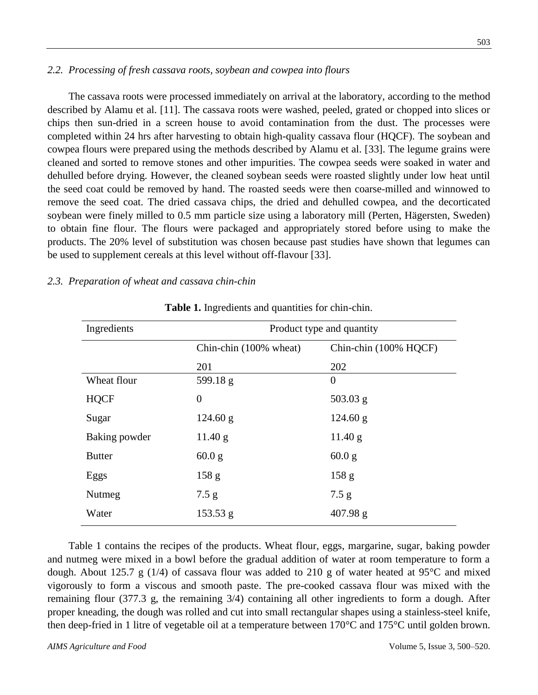The cassava roots were processed immediately on arrival at the laboratory, according to the method described by Alamu et al. [11]. The cassava roots were washed, peeled, grated or chopped into slices or chips then sun-dried in a screen house to avoid contamination from the dust. The processes were completed within 24 hrs after harvesting to obtain high-quality cassava flour (HQCF). The soybean and cowpea flours were prepared using the methods described by Alamu et al. [33]. The legume grains were cleaned and sorted to remove stones and other impurities. The cowpea seeds were soaked in water and dehulled before drying. However, the cleaned soybean seeds were roasted slightly under low heat until the seed coat could be removed by hand. The roasted seeds were then coarse-milled and winnowed to remove the seed coat. The dried cassava chips, the dried and dehulled cowpea, and the decorticated soybean were finely milled to 0.5 mm particle size using a laboratory mill (Perten, Hägersten, Sweden) to obtain fine flour. The flours were packaged and appropriately stored before using to make the products. The 20% level of substitution was chosen because past studies have shown that legumes can be used to supplement cereals at this level without off-flavour [33].

## *2.3. Preparation of wheat and cassava chin-chin*

| Ingredients   | Product type and quantity |                       |  |  |  |
|---------------|---------------------------|-----------------------|--|--|--|
|               | Chin-chin (100% wheat)    | Chin-chin (100% HQCF) |  |  |  |
|               | 201                       | 202                   |  |  |  |
| Wheat flour   | 599.18 $g$                | $\theta$              |  |  |  |
| <b>HQCF</b>   | $\overline{0}$            | $503.03$ g            |  |  |  |
| Sugar         | 124.60 g                  | 124.60 g              |  |  |  |
| Baking powder | 11.40 g                   | 11.40 g               |  |  |  |
| <b>Butter</b> | 60.0 g                    | 60.0 g                |  |  |  |
| Eggs          | 158 g                     | 158 g                 |  |  |  |
| Nutmeg        | 7.5 g                     | 7.5 g                 |  |  |  |
| Water         | $153.53$ g                | 407.98 g              |  |  |  |

**Table 1.** Ingredients and quantities for chin-chin.

Table 1 contains the recipes of the products. Wheat flour, eggs, margarine, sugar, baking powder and nutmeg were mixed in a bowl before the gradual addition of water at room temperature to form a dough. About 125.7 g (1/4) of cassava flour was added to 210 g of water heated at 95  $\mathbb C$  and mixed vigorously to form a viscous and smooth paste. The pre-cooked cassava flour was mixed with the remaining flour (377.3 g, the remaining 3/4) containing all other ingredients to form a dough. After proper kneading, the dough was rolled and cut into small rectangular shapes using a stainless-steel knife, then deep-fried in 1 litre of vegetable oil at a temperature between 170  $\mathbb C$  and 175  $\mathbb C$  until golden brown.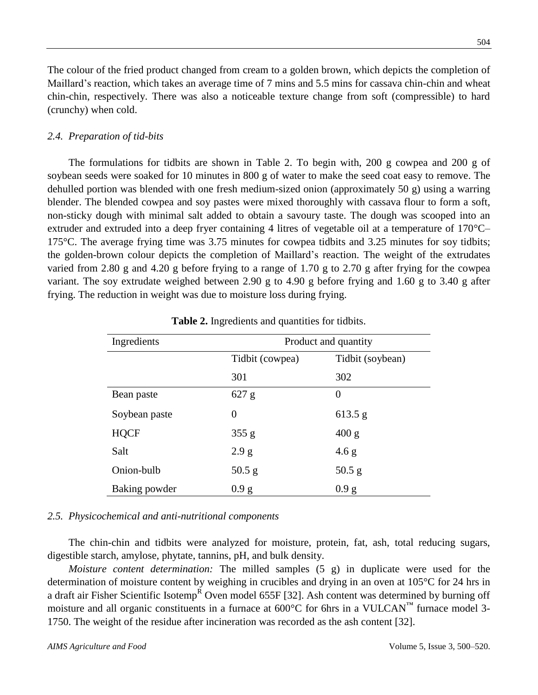The colour of the fried product changed from cream to a golden brown, which depicts the completion of Maillard's reaction, which takes an average time of 7 mins and 5.5 mins for cassava chin-chin and wheat chin-chin, respectively. There was also a noticeable texture change from soft (compressible) to hard (crunchy) when cold.

## *2.4. Preparation of tid-bits*

The formulations for tidbits are shown in Table 2. To begin with, 200 g cowpea and 200 g of soybean seeds were soaked for 10 minutes in 800 g of water to make the seed coat easy to remove. The dehulled portion was blended with one fresh medium-sized onion (approximately 50 g) using a warring blender. The blended cowpea and soy pastes were mixed thoroughly with cassava flour to form a soft, non-sticky dough with minimal salt added to obtain a savoury taste. The dough was scooped into an extruder and extruded into a deep fryer containing 4 litres of vegetable oil at a temperature of 170  $\mathbb{C}$ – 175°C. The average frying time was 3.75 minutes for cowpea tidbits and 3.25 minutes for soy tidbits; the golden-brown colour depicts the completion of Maillard's reaction. The weight of the extrudates varied from 2.80 g and 4.20 g before frying to a range of 1.70 g to 2.70 g after frying for the cowpea variant. The soy extrudate weighed between 2.90 g to 4.90 g before frying and 1.60 g to 3.40 g after frying. The reduction in weight was due to moisture loss during frying.

| Ingredients   | Product and quantity |                  |  |  |  |
|---------------|----------------------|------------------|--|--|--|
|               | Tidbit (cowpea)      | Tidbit (soybean) |  |  |  |
|               | 301                  | 302              |  |  |  |
| Bean paste    | 627 g                | $\theta$         |  |  |  |
| Soybean paste | 0                    | 613.5 g          |  |  |  |
| <b>HQCF</b>   | 355 g                | 400 g            |  |  |  |
| Salt          | 2.9 g                | 4.6 g            |  |  |  |
| Onion-bulb    | $50.5$ g             | 50.5 g           |  |  |  |
| Baking powder | 0.9 g                | 0.9 g            |  |  |  |

**Table 2.** Ingredients and quantities for tidbits.

#### *2.5. Physicochemical and anti-nutritional components*

The chin-chin and tidbits were analyzed for moisture, protein, fat, ash, total reducing sugars, digestible starch, amylose, phytate, tannins, pH, and bulk density.

*Moisture content determination:* The milled samples (5 g) in duplicate were used for the determination of moisture content by weighing in crucibles and drying in an oven at  $105 \text{ °C}$  for 24 hrs in a draft air Fisher Scientific Isotemp<sup>R</sup> Oven model 655F [32]. Ash content was determined by burning off moisture and all organic constituents in a furnace at 600  $\mathbb C$  for 6hrs in a VULCAN<sup>™</sup> furnace model 3-1750. The weight of the residue after incineration was recorded as the ash content [32].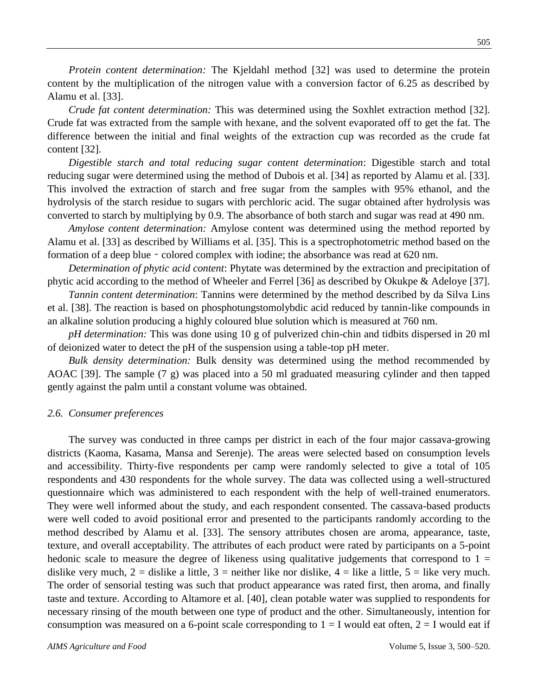*Protein content determination:* The Kjeldahl method [32] was used to determine the protein content by the multiplication of the nitrogen value with a conversion factor of 6.25 as described by Alamu et al. [33].

*Crude fat content determination:* This was determined using the Soxhlet extraction method [32]. Crude fat was extracted from the sample with hexane, and the solvent evaporated off to get the fat. The difference between the initial and final weights of the extraction cup was recorded as the crude fat content [32].

*Digestible starch and total reducing sugar content determination*: Digestible starch and total reducing sugar were determined using the method of Dubois et al. [34] as reported by Alamu et al. [33]. This involved the extraction of starch and free sugar from the samples with 95% ethanol, and the hydrolysis of the starch residue to sugars with perchloric acid. The sugar obtained after hydrolysis was converted to starch by multiplying by 0.9. The absorbance of both starch and sugar was read at 490 nm.

*Amylose content determination:* Amylose content was determined using the method reported by Alamu et al. [33] as described by Williams et al. [35]. This is a spectrophotometric method based on the formation of a deep blue - colored complex with iodine; the absorbance was read at 620 nm.

*Determination of phytic acid content*: Phytate was determined by the extraction and precipitation of phytic acid according to the method of Wheeler and Ferrel [36] as described by Okukpe & Adeloye [37].

*Tannin content determination*: Tannins were determined by the method described by da Silva Lins et al. [38]. The reaction is based on phosphotungstomolybdic acid reduced by tannin-like compounds in an alkaline solution producing a highly coloured blue solution which is measured at 760 nm.

*pH determination:* This was done using 10 g of pulverized chin-chin and tidbits dispersed in 20 ml of deionized water to detect the pH of the suspension using a table-top pH meter.

*Bulk density determination:* Bulk density was determined using the method recommended by AOAC [39]. The sample (7 g) was placed into a 50 ml graduated measuring cylinder and then tapped gently against the palm until a constant volume was obtained.

#### *2.6. Consumer preferences*

The survey was conducted in three camps per district in each of the four major cassava-growing districts (Kaoma, Kasama, Mansa and Serenje). The areas were selected based on consumption levels and accessibility. Thirty-five respondents per camp were randomly selected to give a total of 105 respondents and 430 respondents for the whole survey. The data was collected using a well-structured questionnaire which was administered to each respondent with the help of well-trained enumerators. They were well informed about the study, and each respondent consented. The cassava-based products were well coded to avoid positional error and presented to the participants randomly according to the method described by Alamu et al. [33]. The sensory attributes chosen are aroma, appearance, taste, texture, and overall acceptability. The attributes of each product were rated by participants on a 5-point hedonic scale to measure the degree of likeness using qualitative judgements that correspond to  $1 =$ dislike very much,  $2 =$  dislike a little,  $3 =$  neither like nor dislike,  $4 =$  like a little,  $5 =$  like very much. The order of sensorial testing was such that product appearance was rated first, then aroma, and finally taste and texture. According to Altamore et al. [40], clean potable water was supplied to respondents for necessary rinsing of the mouth between one type of product and the other. Simultaneously, intention for consumption was measured on a 6-point scale corresponding to  $1 = I$  would eat often,  $2 = I$  would eat if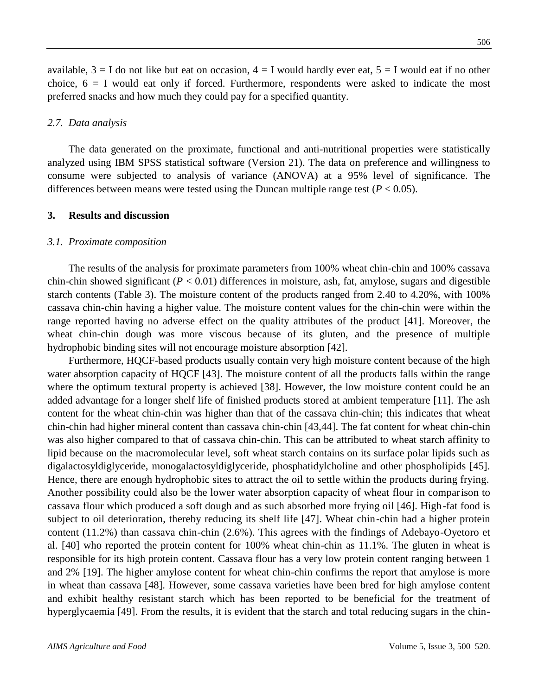available,  $3 = I$  do not like but eat on occasion,  $4 = I$  would hardly ever eat,  $5 = I$  would eat if no other choice,  $6 = I$  would eat only if forced. Furthermore, respondents were asked to indicate the most preferred snacks and how much they could pay for a specified quantity.

#### *2.7. Data analysis*

The data generated on the proximate, functional and anti-nutritional properties were statistically analyzed using IBM SPSS statistical software (Version 21). The data on preference and willingness to consume were subjected to analysis of variance (ANOVA) at a 95% level of significance. The differences between means were tested using the Duncan multiple range test  $(P < 0.05)$ .

#### **3. Results and discussion**

#### *3.1. Proximate composition*

The results of the analysis for proximate parameters from 100% wheat chin-chin and 100% cassava chin-chin showed significant  $(P < 0.01)$  differences in moisture, ash, fat, amylose, sugars and digestible starch contents (Table 3). The moisture content of the products ranged from 2.40 to 4.20%, with 100% cassava chin-chin having a higher value. The moisture content values for the chin-chin were within the range reported having no adverse effect on the quality attributes of the product [41]. Moreover, the wheat chin-chin dough was more viscous because of its gluten, and the presence of multiple hydrophobic binding sites will not encourage moisture absorption [42].

Furthermore, HQCF-based products usually contain very high moisture content because of the high water absorption capacity of HQCF [43]. The moisture content of all the products falls within the range where the optimum textural property is achieved [38]. However, the low moisture content could be an added advantage for a longer shelf life of finished products stored at ambient temperature [11]. The ash content for the wheat chin-chin was higher than that of the cassava chin-chin; this indicates that wheat chin-chin had higher mineral content than cassava chin-chin [43,44]. The fat content for wheat chin-chin was also higher compared to that of cassava chin-chin. This can be attributed to wheat starch affinity to lipid because on the macromolecular level, soft wheat starch contains on its surface polar lipids such as digalactosyldiglyceride, monogalactosyldiglyceride, phosphatidylcholine and other phospholipids [45]. Hence, there are enough hydrophobic sites to attract the oil to settle within the products during frying. Another possibility could also be the lower water absorption capacity of wheat flour in comparison to cassava flour which produced a soft dough and as such absorbed more frying oil [46]. High-fat food is subject to oil deterioration, thereby reducing its shelf life [47]. Wheat chin-chin had a higher protein content (11.2%) than cassava chin-chin (2.6%). This agrees with the findings of Adebayo-Oyetoro et al. [40] who reported the protein content for 100% wheat chin-chin as 11.1%. The gluten in wheat is responsible for its high protein content. Cassava flour has a very low protein content ranging between 1 and 2% [19]. The higher amylose content for wheat chin-chin confirms the report that amylose is more in wheat than cassava [48]. However, some cassava varieties have been bred for high amylose content and exhibit healthy resistant starch which has been reported to be beneficial for the treatment of hyperglycaemia [49]. From the results, it is evident that the starch and total reducing sugars in the chin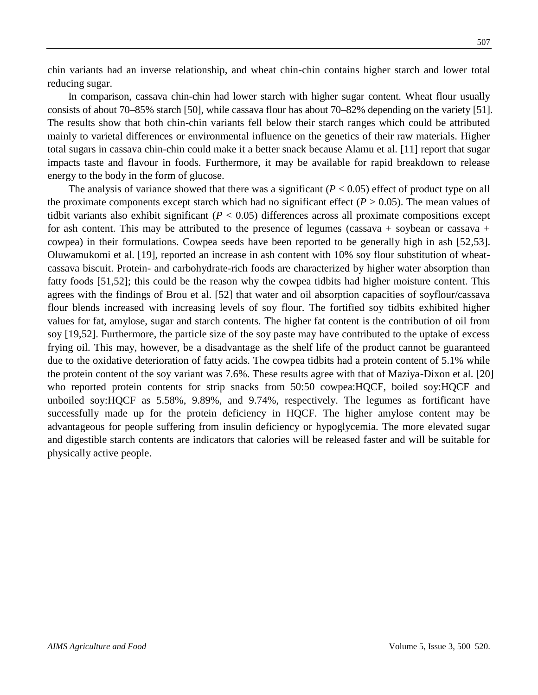chin variants had an inverse relationship, and wheat chin-chin contains higher starch and lower total reducing sugar.

In comparison, cassava chin-chin had lower starch with higher sugar content. Wheat flour usually consists of about 70–85% starch [50], while cassava flour has about 70–82% depending on the variety [51]. The results show that both chin-chin variants fell below their starch ranges which could be attributed mainly to varietal differences or environmental influence on the genetics of their raw materials. Higher total sugars in cassava chin-chin could make it a better snack because Alamu et al. [11] report that sugar impacts taste and flavour in foods. Furthermore, it may be available for rapid breakdown to release energy to the body in the form of glucose.

The analysis of variance showed that there was a significant  $(P < 0.05)$  effect of product type on all the proximate components except starch which had no significant effect  $(P > 0.05)$ . The mean values of tidbit variants also exhibit significant (*P* < 0.05) differences across all proximate compositions except for ash content. This may be attributed to the presence of legumes (cassava + soybean or cassava + cowpea) in their formulations. Cowpea seeds have been reported to be generally high in ash [52,53]. Oluwamukomi et al. [19], reported an increase in ash content with 10% soy flour substitution of wheatcassava biscuit. Protein- and carbohydrate-rich foods are characterized by higher water absorption than fatty foods [51,52]; this could be the reason why the cowpea tidbits had higher moisture content. This agrees with the findings of Brou et al. [52] that water and oil absorption capacities of soyflour/cassava flour blends increased with increasing levels of soy flour. The fortified soy tidbits exhibited higher values for fat, amylose, sugar and starch contents. The higher fat content is the contribution of oil from soy [19,52]. Furthermore, the particle size of the soy paste may have contributed to the uptake of excess frying oil. This may, however, be a disadvantage as the shelf life of the product cannot be guaranteed due to the oxidative deterioration of fatty acids. The cowpea tidbits had a protein content of 5.1% while the protein content of the soy variant was 7.6%. These results agree with that of Maziya-Dixon et al. [20] who reported protein contents for strip snacks from 50:50 cowpea:HQCF, boiled soy:HQCF and unboiled soy:HQCF as 5.58%, 9.89%, and 9.74%, respectively. The legumes as fortificant have successfully made up for the protein deficiency in HQCF. The higher amylose content may be advantageous for people suffering from insulin deficiency or hypoglycemia. The more elevated sugar and digestible starch contents are indicators that calories will be released faster and will be suitable for physically active people.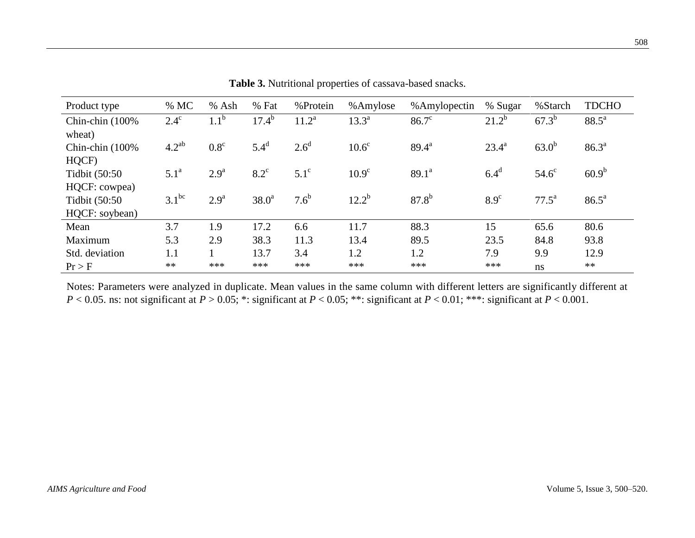| Product type     | % MC             | $%$ Ash          | % Fat             | %Protein         | %Amylose          | %Amylopectin      | % Sugar          | %Starch           | <b>TDCHO</b>   |
|------------------|------------------|------------------|-------------------|------------------|-------------------|-------------------|------------------|-------------------|----------------|
| Chin-chin (100%) | $2.4^\circ$      | 1.1 <sup>b</sup> | $17.4^{\rm b}$    | $11.2^a$         | $13.3^a$          | $86.7^\circ$      | $21.2^{b}$       | $67.3^{b}$        | $88.5^{\circ}$ |
| wheat)           |                  |                  |                   |                  |                   |                   |                  |                   |                |
| Chin-chin (100%) | $4.2^{ab}$       | $0.8^{\circ}$    | $5.4^d$           | 2.6 <sup>d</sup> | 10.6 <sup>c</sup> | $89.4^{\text{a}}$ | $23.4^{\circ}$   | $63.0^{b}$        | $86.3^{a}$     |
| HQCF)            |                  |                  |                   |                  |                   |                   |                  |                   |                |
| Tidbit (50:50    | 5.1 <sup>a</sup> | 2.9 <sup>a</sup> | $8.2^{\circ}$     | $5.1^\circ$      | 10.9 <sup>c</sup> | $89.1^a$          | 6.4 <sup>d</sup> | $54.6^\circ$      | $60.9^{b}$     |
| HQCF: cowpea)    |                  |                  |                   |                  |                   |                   |                  |                   |                |
| Tidbit (50:50    | $3.1^{bc}$       | 2.9 <sup>a</sup> | 38.0 <sup>a</sup> | 7.6 <sup>b</sup> | $12.2^{b}$        | $87.8^{b}$        | 8.9 <sup>c</sup> | $77.5^{\text{a}}$ | $86.5^{\circ}$ |
| HQCF: soybean)   |                  |                  |                   |                  |                   |                   |                  |                   |                |
| Mean             | 3.7              | 1.9              | 17.2              | 6.6              | 11.7              | 88.3              | 15               | 65.6              | 80.6           |
| Maximum          | 5.3              | 2.9              | 38.3              | 11.3             | 13.4              | 89.5              | 23.5             | 84.8              | 93.8           |
| Std. deviation   | 1.1              |                  | 13.7              | 3.4              | 1.2               | 1.2               | 7.9              | 9.9               | 12.9           |
| Pr > F           | $**$             | ***              | ***               | ***              | ***               | ***               | ***              | ns                | $**$           |

**Table 3.** Nutritional properties of cassava-based snacks.

Notes: Parameters were analyzed in duplicate. Mean values in the same column with different letters are significantly different at  $P < 0.05$ . ns: not significant at  $P > 0.05$ ; \*: significant at  $P < 0.05$ ; \*\*: significant at  $P < 0.01$ ; \*\*\*: significant at  $P < 0.001$ .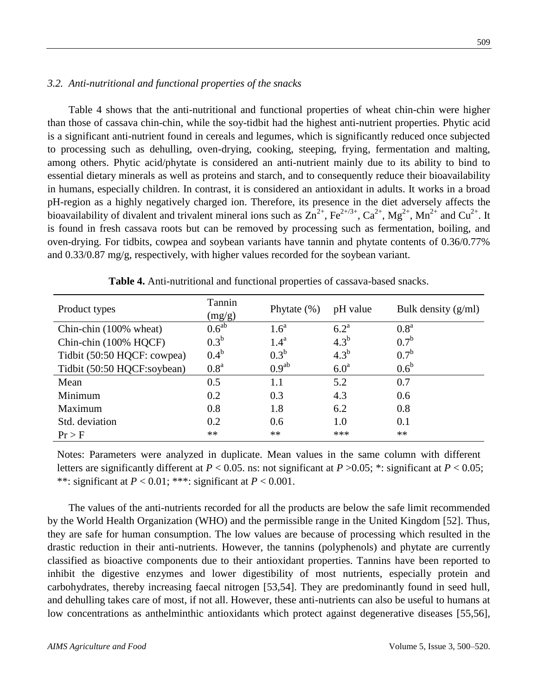#### *3.2. Anti-nutritional and functional properties of the snacks*

Table 4 shows that the anti-nutritional and functional properties of wheat chin-chin were higher than those of cassava chin-chin, while the soy-tidbit had the highest anti-nutrient properties. Phytic acid is a significant anti-nutrient found in cereals and legumes, which is significantly reduced once subjected to processing such as dehulling, oven-drying, cooking, steeping, frying, fermentation and malting, among others. Phytic acid/phytate is considered an anti-nutrient mainly due to its ability to bind to essential dietary minerals as well as proteins and starch, and to consequently reduce their bioavailability in humans, especially children. In contrast, it is considered an antioxidant in adults. It works in a broad pH-region as a highly negatively charged ion. Therefore, its presence in the diet adversely affects the bioavailability of divalent and trivalent mineral ions such as  $\text{Zn}^{2+}$ , Fe<sup>2+/3+</sup>, Ca<sup>2+</sup>, Mg<sup>2+</sup>, Mn<sup>2+</sup> and Cu<sup>2+</sup>. It is found in fresh cassava roots but can be removed by processing such as fermentation, boiling, and oven-drying. For tidbits, cowpea and soybean variants have tannin and phytate contents of 0.36/0.77% and 0.33/0.87 mg/g, respectively, with higher values recorded for the soybean variant.

| Product types               | Tannin<br>(mg/g)  | Phytate $(\%)$    | pH value         | Bulk density $(g/ml)$ |
|-----------------------------|-------------------|-------------------|------------------|-----------------------|
| Chin-chin (100% wheat)      | 0.6 <sup>ab</sup> | 1.6 <sup>a</sup>  | $6.2^{\text{a}}$ | 0.8 <sup>a</sup>      |
| Chin-chin (100% HQCF)       | $0.3^b$           | 1.4 <sup>a</sup>  | $4.3^b$          | $0.7^{\rm b}$         |
| Tidbit (50:50 HQCF: cowpea) | $0.4^b$           | $0.3^b$           | $4.3^b$          | 0.7 <sup>b</sup>      |
| Tidbit (50:50 HQCF:soybean) | 0.8 <sup>a</sup>  | 0.9 <sup>ab</sup> | 6.0 <sup>a</sup> | $0.6^{\rm b}$         |
| Mean                        | 0.5               | 1.1               | 5.2              | 0.7                   |
| Minimum                     | 0.2               | 0.3               | 4.3              | 0.6                   |
| Maximum                     | 0.8               | 1.8               | 6.2              | 0.8                   |
| Std. deviation              | 0.2               | 0.6               | 1.0              | 0.1                   |
| $Pr$ > F                    | **                | **                | ***              | **                    |

**Table 4.** Anti-nutritional and functional properties of cassava-based snacks.

Notes: Parameters were analyzed in duplicate. Mean values in the same column with different letters are significantly different at  $P < 0.05$ . ns: not significant at  $P > 0.05$ ; \*: significant at  $P < 0.05$ ; \*\*: significant at  $P < 0.01$ ; \*\*\*: significant at  $P < 0.001$ .

The values of the anti-nutrients recorded for all the products are below the safe limit recommended by the World Health Organization (WHO) and the permissible range in the United Kingdom [52]. Thus, they are safe for human consumption. The low values are because of processing which resulted in the drastic reduction in their anti-nutrients. However, the tannins (polyphenols) and phytate are currently classified as bioactive components due to their antioxidant properties. Tannins have been reported to inhibit the digestive enzymes and lower digestibility of most nutrients, especially protein and carbohydrates, thereby increasing faecal nitrogen [53,54]. They are predominantly found in seed hull, and dehulling takes care of most, if not all. However, these anti-nutrients can also be useful to humans at low concentrations as anthelminthic antioxidants which protect against degenerative diseases [55,56],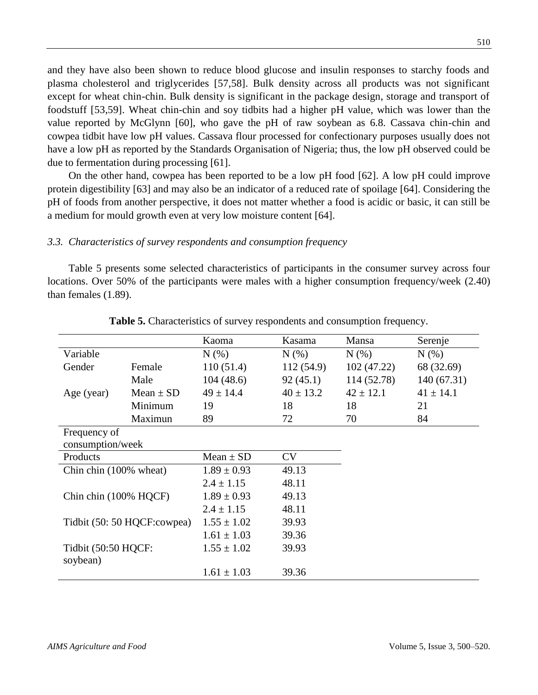and they have also been shown to reduce blood glucose and insulin responses to starchy foods and plasma cholesterol and triglycerides [57,58]. Bulk density across all products was not significant except for wheat chin-chin. Bulk density is significant in the package design, storage and transport of foodstuff [53,59]. Wheat chin-chin and soy tidbits had a higher pH value, which was lower than the value reported by McGlynn [60], who gave the pH of raw soybean as 6.8. Cassava chin-chin and cowpea tidbit have low pH values. Cassava flour processed for confectionary purposes usually does not have a low pH as reported by the Standards Organisation of Nigeria; thus, the low pH observed could be due to fermentation during processing [61].

On the other hand, cowpea has been reported to be a low pH food [62]. A low pH could improve protein digestibility [63] and may also be an indicator of a reduced rate of spoilage [64]. Considering the pH of foods from another perspective, it does not matter whether a food is acidic or basic, it can still be a medium for mould growth even at very low moisture content [64].

#### *3.3. Characteristics of survey respondents and consumption frequency*

Table 5 presents some selected characteristics of participants in the consumer survey across four locations. Over 50% of the participants were males with a higher consumption frequency/week (2.40) than females (1.89).

|                                  |                             | Kaoma           | Kasama        | Mansa         | Serenje       |
|----------------------------------|-----------------------------|-----------------|---------------|---------------|---------------|
| Variable                         |                             | $N(\%)$         | N(% )         | $N(\%)$       | $N(\%)$       |
| Gender                           | Female                      | 110(51.4)       | 112(54.9)     | 102(47.22)    | 68 (32.69)    |
|                                  | Male                        | 104(48.6)       | 92(45.1)      | 114 (52.78)   | 140 (67.31)   |
| Age (year)                       | Mean $\pm$ SD               | $49 \pm 14.4$   | $40 \pm 13.2$ | $42 \pm 12.1$ | $41 \pm 14.1$ |
|                                  | Minimum                     | 19              | 18            | 18            | 21            |
|                                  | Maximun                     | 89              | 72            | 70            | 84            |
| Frequency of<br>consumption/week |                             |                 |               |               |               |
| Products                         |                             | Mean $\pm$ SD   | CV            |               |               |
| Chin chin (100% wheat)           |                             | $1.89 \pm 0.93$ | 49.13         |               |               |
|                                  |                             | $2.4 \pm 1.15$  | 48.11         |               |               |
| Chin chin (100% HQCF)            |                             | $1.89 \pm 0.93$ | 49.13         |               |               |
|                                  |                             | $2.4 \pm 1.15$  | 48.11         |               |               |
|                                  | Tidbit (50: 50 HQCF:cowpea) | $1.55 \pm 1.02$ | 39.93         |               |               |
|                                  |                             | $1.61 \pm 1.03$ | 39.36         |               |               |
| Tidbit (50:50 HQCF:<br>soybean)  |                             | $1.55 \pm 1.02$ | 39.93         |               |               |
|                                  |                             | $1.61 \pm 1.03$ | 39.36         |               |               |

**Table 5.** Characteristics of survey respondents and consumption frequency.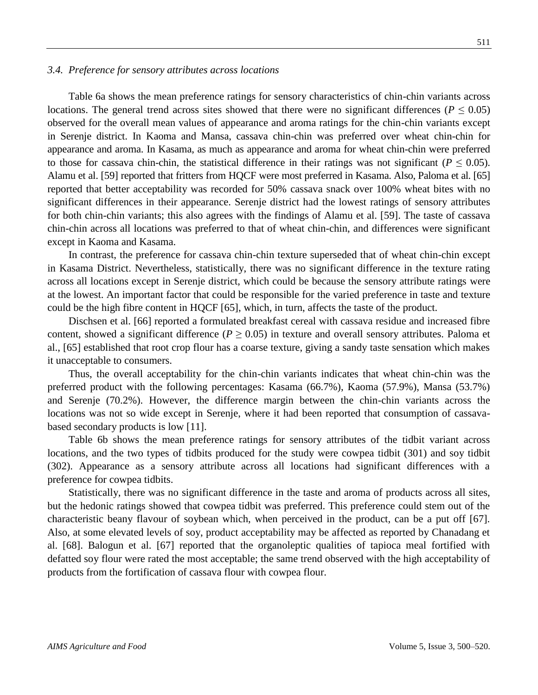#### *3.4. Preference for sensory attributes across locations*

Table 6a shows the mean preference ratings for sensory characteristics of chin-chin variants across locations. The general trend across sites showed that there were no significant differences ( $P \le 0.05$ ) observed for the overall mean values of appearance and aroma ratings for the chin-chin variants except in Serenje district. In Kaoma and Mansa, cassava chin-chin was preferred over wheat chin-chin for appearance and aroma. In Kasama, as much as appearance and aroma for wheat chin-chin were preferred to those for cassava chin-chin, the statistical difference in their ratings was not significant ( $P \le 0.05$ ). Alamu et al. [59] reported that fritters from HQCF were most preferred in Kasama. Also, Paloma et al. [65] reported that better acceptability was recorded for 50% cassava snack over 100% wheat bites with no significant differences in their appearance. Serenje district had the lowest ratings of sensory attributes for both chin-chin variants; this also agrees with the findings of Alamu et al. [59]. The taste of cassava chin-chin across all locations was preferred to that of wheat chin-chin, and differences were significant except in Kaoma and Kasama.

In contrast, the preference for cassava chin-chin texture superseded that of wheat chin-chin except in Kasama District. Nevertheless, statistically, there was no significant difference in the texture rating across all locations except in Serenje district, which could be because the sensory attribute ratings were at the lowest. An important factor that could be responsible for the varied preference in taste and texture could be the high fibre content in HQCF [65], which, in turn, affects the taste of the product.

Dischsen et al. [66] reported a formulated breakfast cereal with cassava residue and increased fibre content, showed a significant difference ( $P \ge 0.05$ ) in texture and overall sensory attributes. Paloma et al., [65] established that root crop flour has a coarse texture, giving a sandy taste sensation which makes it unacceptable to consumers.

Thus, the overall acceptability for the chin-chin variants indicates that wheat chin-chin was the preferred product with the following percentages: Kasama (66.7%), Kaoma (57.9%), Mansa (53.7%) and Serenje (70.2%). However, the difference margin between the chin-chin variants across the locations was not so wide except in Serenje, where it had been reported that consumption of cassavabased secondary products is low [11].

Table 6b shows the mean preference ratings for sensory attributes of the tidbit variant across locations, and the two types of tidbits produced for the study were cowpea tidbit (301) and soy tidbit (302). Appearance as a sensory attribute across all locations had significant differences with a preference for cowpea tidbits.

Statistically, there was no significant difference in the taste and aroma of products across all sites, but the hedonic ratings showed that cowpea tidbit was preferred. This preference could stem out of the characteristic beany flavour of soybean which, when perceived in the product, can be a put off [67]. Also, at some elevated levels of soy, product acceptability may be affected as reported by Chanadang et al. [68]. Balogun et al. [67] reported that the organoleptic qualities of tapioca meal fortified with defatted soy flour were rated the most acceptable; the same trend observed with the high acceptability of products from the fortification of cassava flour with cowpea flour.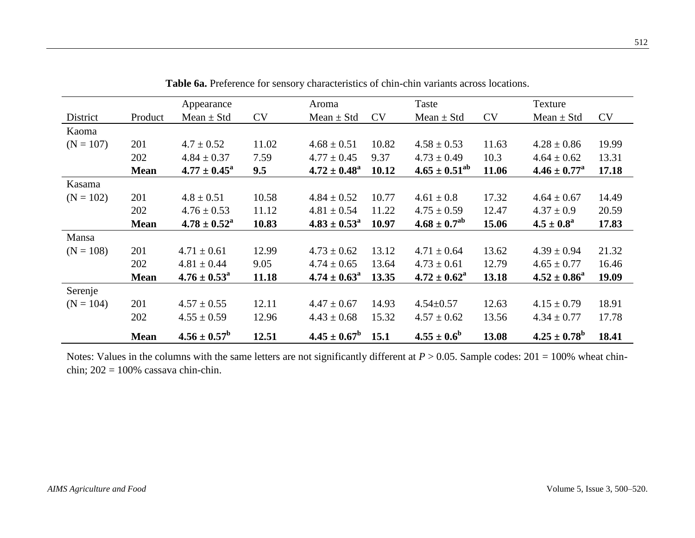|             |             | Appearance                 |           | Aroma                   |           | Taste                   |           | Texture                 |           |
|-------------|-------------|----------------------------|-----------|-------------------------|-----------|-------------------------|-----------|-------------------------|-----------|
| District    | Product     | Mean $\pm$ Std             | <b>CV</b> | Mean $\pm$ Std          | <b>CV</b> | Mean $\pm$ Std          | <b>CV</b> | Mean $\pm$ Std          | <b>CV</b> |
| Kaoma       |             |                            |           |                         |           |                         |           |                         |           |
| $(N = 107)$ | 201         | $4.7 \pm 0.52$             | 11.02     | $4.68 \pm 0.51$         | 10.82     | $4.58 \pm 0.53$         | 11.63     | $4.28 \pm 0.86$         | 19.99     |
|             | 202         | $4.84 \pm 0.37$            | 7.59      | $4.77 \pm 0.45$         | 9.37      | $4.73 \pm 0.49$         | 10.3      | $4.64 \pm 0.62$         | 13.31     |
|             | <b>Mean</b> | $4.77 \pm 0.45^{\circ}$    | 9.5       | $4.72 \pm 0.48^{\rm a}$ | 10.12     | $4.65 \pm 0.51^{ab}$    | 11.06     | $4.46 \pm 0.77^{\rm a}$ | 17.18     |
| Kasama      |             |                            |           |                         |           |                         |           |                         |           |
| $(N = 102)$ | 201         | $4.8 \pm 0.51$             | 10.58     | $4.84 \pm 0.52$         | 10.77     | $4.61 \pm 0.8$          | 17.32     | $4.64 \pm 0.67$         | 14.49     |
|             | 202         | $4.76 \pm 0.53$            | 11.12     | $4.81 \pm 0.54$         | 11.22     | $4.75 \pm 0.59$         | 12.47     | $4.37 \pm 0.9$          | 20.59     |
|             | <b>Mean</b> | $4.78 \pm 0.52^{\circ}$    | 10.83     | $4.83 \pm 0.53^{\circ}$ | 10.97     | $4.68 \pm 0.7^{ab}$     | 15.06     | $4.5 \pm 0.8^{\circ}$   | 17.83     |
| Mansa       |             |                            |           |                         |           |                         |           |                         |           |
| $(N = 108)$ | 201         | $4.71 \pm 0.61$            | 12.99     | $4.73 \pm 0.62$         | 13.12     | $4.71 \pm 0.64$         | 13.62     | $4.39 \pm 0.94$         | 21.32     |
|             | 202         | $4.81 \pm 0.44$            | 9.05      | $4.74 \pm 0.65$         | 13.64     | $4.73 \pm 0.61$         | 12.79     | $4.65 \pm 0.77$         | 16.46     |
|             | <b>Mean</b> | $4.76 \pm 0.53^{\text{a}}$ | 11.18     | $4.74 \pm 0.63^{\circ}$ | 13.35     | $4.72 \pm 0.62^{\rm a}$ | 13.18     | $4.52 \pm 0.86^a$       | 19.09     |
| Serenje     |             |                            |           |                         |           |                         |           |                         |           |
| $(N = 104)$ | 201         | $4.57 \pm 0.55$            | 12.11     | $4.47 \pm 0.67$         | 14.93     | $4.54 \pm 0.57$         | 12.63     | $4.15 \pm 0.79$         | 18.91     |
|             | 202         | $4.55 \pm 0.59$            | 12.96     | $4.43 \pm 0.68$         | 15.32     | $4.57 \pm 0.62$         | 13.56     | $4.34 \pm 0.77$         | 17.78     |
|             | <b>Mean</b> | $4.56 \pm 0.57^{\rm b}$    | 12.51     | $4.45 \pm 0.67^{\circ}$ | 15.1      | $4.55 \pm 0.6^b$        | 13.08     | $4.25 \pm 0.78^{\rm b}$ | 18.41     |

**Table 6a.** Preference for sensory characteristics of chin-chin variants across locations.

Notes: Values in the columns with the same letters are not significantly different at  $P > 0.05$ . Sample codes:  $201 = 100\%$  wheat chinchin; 202 = 100% cassava chin-chin.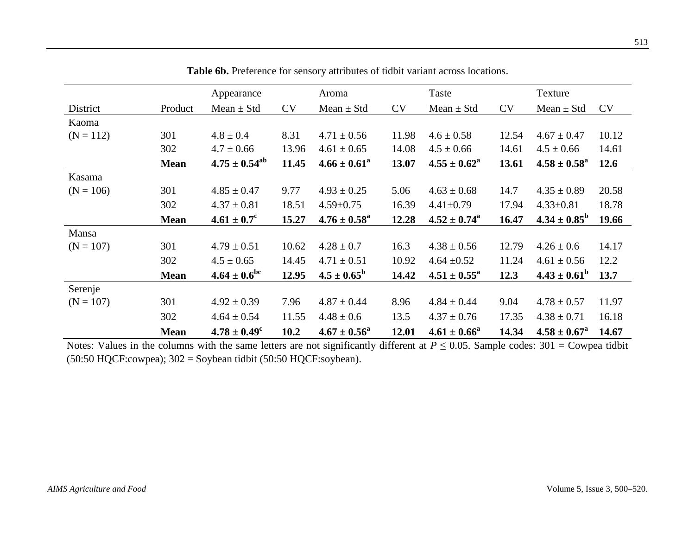|             |             | Appearance               |           | Aroma                      |           | Taste                   |           | Texture                 |           |
|-------------|-------------|--------------------------|-----------|----------------------------|-----------|-------------------------|-----------|-------------------------|-----------|
| District    | Product     | Mean $\pm$ Std           | <b>CV</b> | Mean $\pm$ Std             | <b>CV</b> | Mean $\pm$ Std          | <b>CV</b> | Mean $\pm$ Std          | <b>CV</b> |
| Kaoma       |             |                          |           |                            |           |                         |           |                         |           |
| $(N = 112)$ | 301         | $4.8 \pm 0.4$            | 8.31      | $4.71 \pm 0.56$            | 11.98     | $4.6 \pm 0.58$          | 12.54     | $4.67 \pm 0.47$         | 10.12     |
|             | 302         | $4.7 \pm 0.66$           | 13.96     | $4.61 \pm 0.65$            | 14.08     | $4.5 \pm 0.66$          | 14.61     | $4.5 \pm 0.66$          | 14.61     |
|             | <b>Mean</b> | $4.75 \pm 0.54^{\rm ab}$ | 11.45     | $4.66 \pm 0.61^a$          | 13.07     | $4.55 \pm 0.62^{\circ}$ | 13.61     | $4.58 \pm 0.58^{\rm a}$ | 12.6      |
| Kasama      |             |                          |           |                            |           |                         |           |                         |           |
| $(N = 106)$ | 301         | $4.85 \pm 0.47$          | 9.77      | $4.93 \pm 0.25$            | 5.06      | $4.63 \pm 0.68$         | 14.7      | $4.35 \pm 0.89$         | 20.58     |
|             | 302         | $4.37 \pm 0.81$          | 18.51     | $4.59 \pm 0.75$            | 16.39     | $4.41 + 0.79$           | 17.94     | $4.33 \pm 0.81$         | 18.78     |
|             | <b>Mean</b> | $4.61 \pm 0.7^c$         | 15.27     | $4.76 \pm 0.58^{\text{a}}$ | 12.28     | $4.52 \pm 0.74^{\circ}$ | 16.47     | $4.34 \pm 0.85^{\rm b}$ | 19.66     |
| Mansa       |             |                          |           |                            |           |                         |           |                         |           |
| $(N = 107)$ | 301         | $4.79 \pm 0.51$          | 10.62     | $4.28 \pm 0.7$             | 16.3      | $4.38 \pm 0.56$         | 12.79     | $4.26 \pm 0.6$          | 14.17     |
|             | 302         | $4.5 \pm 0.65$           | 14.45     | $4.71 \pm 0.51$            | 10.92     | 4.64 $\pm 0.52$         | 11.24     | $4.61 \pm 0.56$         | 12.2      |
|             | <b>Mean</b> | $4.64 \pm 0.6^{\rm bc}$  | 12.95     | $4.5 \pm 0.65^{\rm b}$     | 14.42     | $4.51 \pm 0.55^{\circ}$ | 12.3      | $4.43 \pm 0.61^b$       | 13.7      |
| Serenje     |             |                          |           |                            |           |                         |           |                         |           |
| $(N = 107)$ | 301         | $4.92 \pm 0.39$          | 7.96      | $4.87 \pm 0.44$            | 8.96      | $4.84 \pm 0.44$         | 9.04      | $4.78 \pm 0.57$         | 11.97     |
|             | 302         | $4.64 \pm 0.54$          | 11.55     | $4.48 \pm 0.6$             | 13.5      | $4.37 \pm 0.76$         | 17.35     | $4.38 \pm 0.71$         | 16.18     |
|             | <b>Mean</b> | $4.78 \pm 0.49^c$        | 10.2      | $4.67 \pm 0.56^{\circ}$    | 12.01     | $4.61 \pm 0.66^a$       | 14.34     | $4.58 \pm 0.67^{\rm a}$ | 14.67     |

**Table 6b.** Preference for sensory attributes of tidbit variant across locations.

Notes: Values in the columns with the same letters are not significantly different at  $P \le 0.05$ . Sample codes: 301 = Cowpea tidbit  $(50:50 \text{ HQCF:} \text{cowpea});$   $302 = \text{Soybean}$  tidbit  $(50:50 \text{ HQCF:} \text{soybean}).$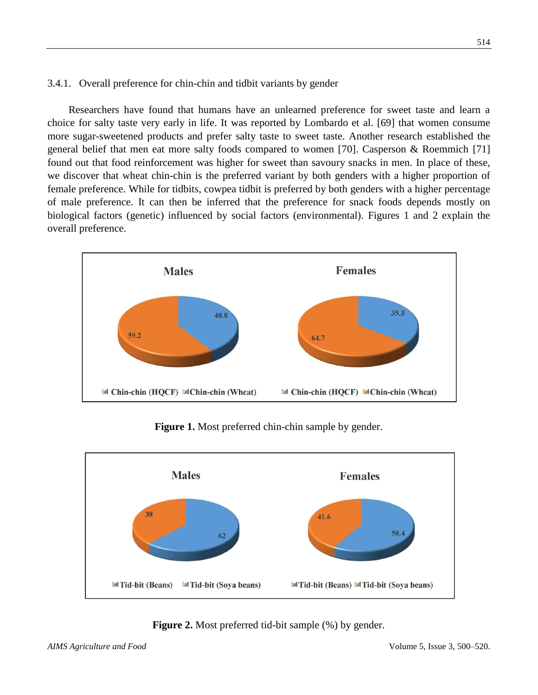### 3.4.1. Overall preference for chin-chin and tidbit variants by gender

Researchers have found that humans have an unlearned preference for sweet taste and learn a choice for salty taste very early in life. It was reported by Lombardo et al. [69] that women consume more sugar-sweetened products and prefer salty taste to sweet taste. Another research established the general belief that men eat more salty foods compared to women [70]. Casperson & Roemmich [71] found out that food reinforcement was higher for sweet than savoury snacks in men. In place of these, we discover that wheat chin-chin is the preferred variant by both genders with a higher proportion of female preference. While for tidbits, cowpea tidbit is preferred by both genders with a higher percentage of male preference. It can then be inferred that the preference for snack foods depends mostly on biological factors (genetic) influenced by social factors (environmental). Figures 1 and 2 explain the overall preference.



**Figure 1.** Most preferred chin-chin sample by gender.



**Figure 2.** Most preferred tid-bit sample  $(\%)$  by gender.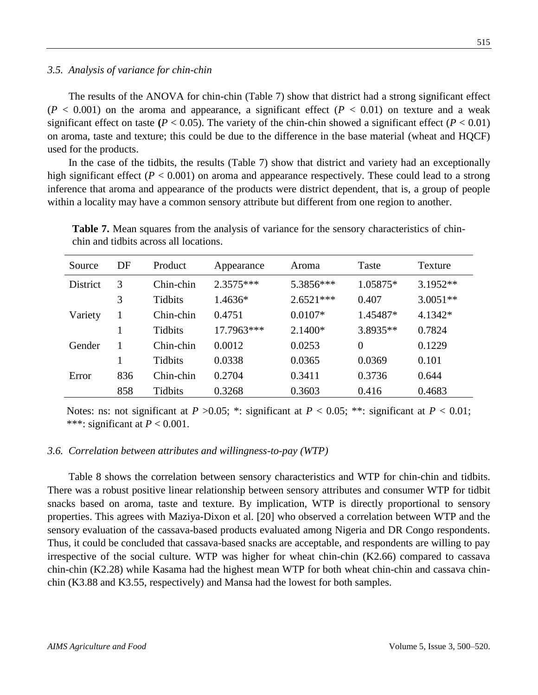#### *3.5. Analysis of variance for chin-chin*

The results of the ANOVA for chin-chin (Table 7) show that district had a strong significant effect  $(P < 0.001)$  on the aroma and appearance, a significant effect  $(P < 0.01)$  on texture and a weak significant effect on taste  $(P < 0.05)$ . The variety of the chin-chin showed a significant effect  $(P < 0.01)$ on aroma, taste and texture; this could be due to the difference in the base material (wheat and HQCF) used for the products.

In the case of the tidbits, the results (Table 7) show that district and variety had an exceptionally high significant effect ( $P < 0.001$ ) on aroma and appearance respectively. These could lead to a strong inference that aroma and appearance of the products were district dependent, that is, a group of people within a locality may have a common sensory attribute but different from one region to another.

| Source          | DF  | Product        | Appearance  | Aroma       | Taste          | Texture    |
|-----------------|-----|----------------|-------------|-------------|----------------|------------|
| <b>District</b> | 3   | Chin-chin      | $2.3575***$ | 5.3856***   | 1.05875*       | $3.1952**$ |
|                 | 3   | Tidbits        | 1.4636*     | $2.6521***$ | 0.407          | $3.0051**$ |
| Variety         | 1   | Chin-chin      | 0.4751      | $0.0107*$   | 1.45487*       | 4.1342*    |
|                 |     | Tidbits        | 17.7963***  | 2.1400*     | 3.8935**       | 0.7824     |
| Gender          |     | Chin-chin      | 0.0012      | 0.0253      | $\overline{0}$ | 0.1229     |
|                 |     | <b>Tidbits</b> | 0.0338      | 0.0365      | 0.0369         | 0.101      |
| Error           | 836 | Chin-chin      | 0.2704      | 0.3411      | 0.3736         | 0.644      |
|                 | 858 | Tidbits        | 0.3268      | 0.3603      | 0.416          | 0.4683     |

**Table 7.** Mean squares from the analysis of variance for the sensory characteristics of chinchin and tidbits across all locations.

Notes: ns: not significant at  $P > 0.05$ ; \*: significant at  $P < 0.05$ ; \*\*: significant at  $P < 0.01$ ; \*\*\*: significant at  $P < 0.001$ .

#### *3.6. Correlation between attributes and willingness-to-pay (WTP)*

Table 8 shows the correlation between sensory characteristics and WTP for chin-chin and tidbits. There was a robust positive linear relationship between sensory attributes and consumer WTP for tidbit snacks based on aroma, taste and texture. By implication, WTP is directly proportional to sensory properties. This agrees with Maziya-Dixon et al. [20] who observed a correlation between WTP and the sensory evaluation of the cassava-based products evaluated among Nigeria and DR Congo respondents. Thus, it could be concluded that cassava-based snacks are acceptable, and respondents are willing to pay irrespective of the social culture. WTP was higher for wheat chin-chin (K2.66) compared to cassava chin-chin (K2.28) while Kasama had the highest mean WTP for both wheat chin-chin and cassava chinchin (K3.88 and K3.55, respectively) and Mansa had the lowest for both samples.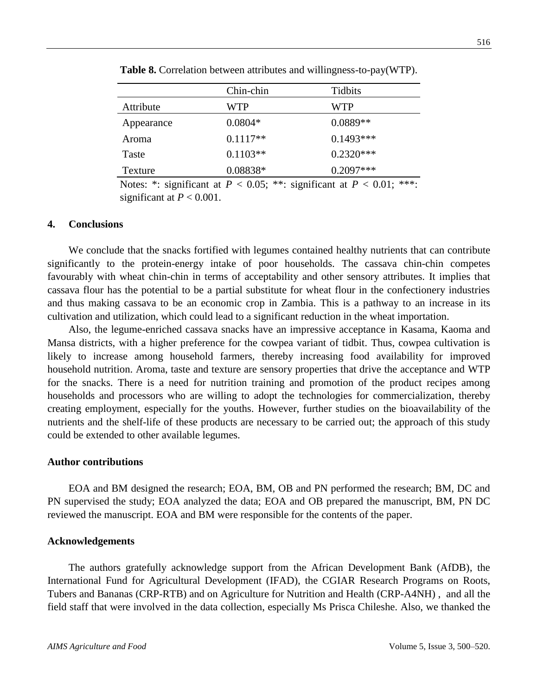|            | Chin-chin  | Tidbits     |
|------------|------------|-------------|
| Attribute  | WTP        | <b>WTP</b>  |
| Appearance | $0.0804*$  | $0.0889**$  |
| Aroma      | $0.1117**$ | $0.1493***$ |
| Taste      | $0.1103**$ | $0.2320***$ |

**Table 8.** Correlation between attributes and willingness-to-pay(WTP).

Notes: \*: significant at  $P < 0.05$ ; \*\*: significant at  $P < 0.01$ ; \*\*\*: significant at  $P < 0.001$ .

Texture 0.08838\* 0.2097\*\*\*

#### **4. Conclusions**

We conclude that the snacks fortified with legumes contained healthy nutrients that can contribute significantly to the protein-energy intake of poor households. The cassava chin-chin competes favourably with wheat chin-chin in terms of acceptability and other sensory attributes. It implies that cassava flour has the potential to be a partial substitute for wheat flour in the confectionery industries and thus making cassava to be an economic crop in Zambia. This is a pathway to an increase in its cultivation and utilization, which could lead to a significant reduction in the wheat importation.

Also, the legume-enriched cassava snacks have an impressive acceptance in Kasama, Kaoma and Mansa districts, with a higher preference for the cowpea variant of tidbit. Thus, cowpea cultivation is likely to increase among household farmers, thereby increasing food availability for improved household nutrition. Aroma, taste and texture are sensory properties that drive the acceptance and WTP for the snacks. There is a need for nutrition training and promotion of the product recipes among households and processors who are willing to adopt the technologies for commercialization, thereby creating employment, especially for the youths. However, further studies on the bioavailability of the nutrients and the shelf-life of these products are necessary to be carried out; the approach of this study could be extended to other available legumes.

#### **Author contributions**

EOA and BM designed the research; EOA, BM, OB and PN performed the research; BM, DC and PN supervised the study; EOA analyzed the data; EOA and OB prepared the manuscript, BM, PN DC reviewed the manuscript. EOA and BM were responsible for the contents of the paper.

#### **Acknowledgements**

The authors gratefully acknowledge support from the African Development Bank (AfDB), the International Fund for Agricultural Development (IFAD), the CGIAR Research Programs on Roots, Tubers and Bananas (CRP-RTB) and on Agriculture for Nutrition and Health (CRP-A4NH) , and all the field staff that were involved in the data collection, especially Ms Prisca Chileshe. Also, we thanked the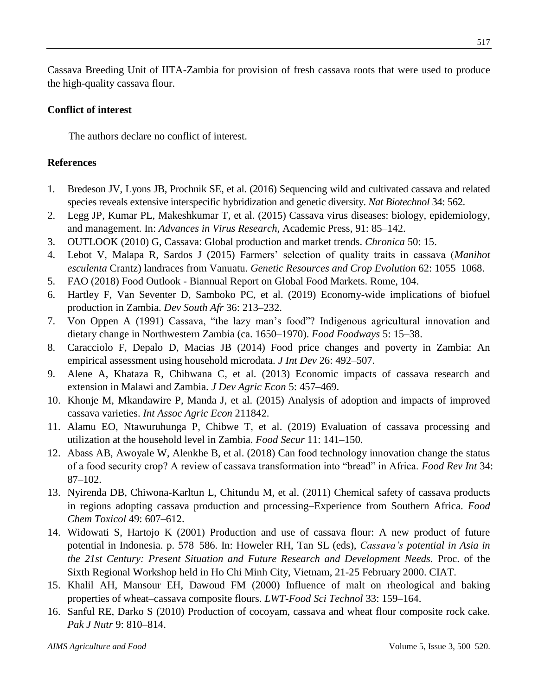Cassava Breeding Unit of IITA-Zambia for provision of fresh cassava roots that were used to produce the high-quality cassava flour.

## **Conflict of interest**

The authors declare no conflict of interest.

## **References**

- 1. Bredeson JV, Lyons JB, Prochnik SE, et al. (2016) Sequencing wild and cultivated cassava and related species reveals extensive interspecific hybridization and genetic diversity. *Nat Biotechnol* 34: 562.
- 2. Legg JP, Kumar PL, Makeshkumar T, et al. (2015) Cassava virus diseases: biology, epidemiology, and management. In: *Advances in Virus Research*, Academic Press, 91: 85–142.
- 3. OUTLOOK (2010) G, Cassava: Global production and market trends. *Chronica* 50: 15.
- 4. Lebot V, Malapa R, Sardos J (2015) Farmers' selection of quality traits in cassava (*Manihot esculenta* Crantz) landraces from Vanuatu. *Genetic Resources and Crop Evolution* 62: 1055–1068.
- 5. FAO (2018) Food Outlook Biannual Report on Global Food Markets. Rome, 104.
- 6. Hartley F, Van Seventer D, Samboko PC, et al. (2019) Economy-wide implications of biofuel production in Zambia. *Dev South Afr* 36: 213–232.
- 7. Von Oppen A (1991) Cassava, "the lazy man's food"? Indigenous agricultural innovation and dietary change in Northwestern Zambia (ca. 1650–1970). *Food Foodways* 5: 15–38.
- 8. Caracciolo F, Depalo D, Macias JB (2014) Food price changes and poverty in Zambia: An empirical assessment using household microdata. *J Int Dev* 26: 492–507.
- 9. Alene A, Khataza R, Chibwana C, et al. (2013) Economic impacts of cassava research and extension in Malawi and Zambia. *J Dev Agric Econ* 5: 457–469.
- 10. Khonje M, Mkandawire P, Manda J, et al. (2015) Analysis of adoption and impacts of improved cassava varieties. *Int Assoc Agric Econ* 211842.
- 11. Alamu EO, Ntawuruhunga P, Chibwe T, et al. (2019) Evaluation of cassava processing and utilization at the household level in Zambia. *Food Secur* 11: 141–150.
- 12. Abass AB, Awoyale W, Alenkhe B, et al. (2018) Can food technology innovation change the status of a food security crop? A review of cassava transformation into "bread" in Africa. *Food Rev Int* 34: 87–102.
- 13. Nyirenda DB, Chiwona-Karltun L, Chitundu M, et al. (2011) Chemical safety of cassava products in regions adopting cassava production and processing–Experience from Southern Africa. *Food Chem Toxicol* 49: 607–612.
- 14. Widowati S, Hartojo K (2001) Production and use of cassava flour: A new product of future potential in Indonesia. p. 578–586. In: Howeler RH, Tan SL (eds), *Cassava's potential in Asia in the 21st Century: Present Situation and Future Research and Development Needs.* Proc. of the Sixth Regional Workshop held in Ho Chi Minh City, Vietnam, 21-25 February 2000. CIAT.
- 15. Khalil AH, Mansour EH, Dawoud FM (2000) Influence of malt on rheological and baking properties of wheat–cassava composite flours. *LWT-Food Sci Technol* 33: 159–164.
- 16. Sanful RE, Darko S (2010) Production of cocoyam, cassava and wheat flour composite rock cake. *Pak J Nutr* 9: 810–814.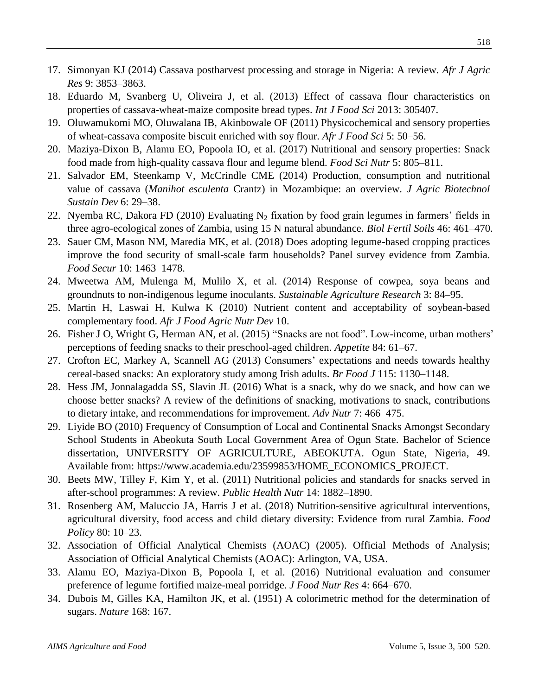- 17. Simonyan KJ (2014) Cassava postharvest processing and storage in Nigeria: A review. *Afr J Agric Res* 9: 3853–3863.
- 18. Eduardo M, Svanberg U, Oliveira J, et al. (2013) Effect of cassava flour characteristics on properties of cassava-wheat-maize composite bread types. *Int J Food Sci* 2013: 305407.
- 19. Oluwamukomi MO, Oluwalana IB, Akinbowale OF (2011) Physicochemical and sensory properties of wheat-cassava composite biscuit enriched with soy flour. *Afr J Food Sci* 5: 50–56.
- 20. Maziya-Dixon B, Alamu EO, Popoola IO, et al. (2017) Nutritional and sensory properties: Snack food made from high-quality cassava flour and legume blend. *Food Sci Nutr* 5: 805–811.
- 21. Salvador EM, Steenkamp V, McCrindle CME (2014) Production, consumption and nutritional value of cassava (*Manihot esculenta* Crantz) in Mozambique: an overview. *J Agric Biotechnol Sustain Dev* 6: 29–38.
- 22. Nyemba RC, Dakora FD (2010) Evaluating N<sub>2</sub> fixation by food grain legumes in farmers' fields in three agro-ecological zones of Zambia, using 15 N natural abundance. *Biol Fertil Soils* 46: 461–470.
- 23. Sauer CM, Mason NM, Maredia MK, et al. (2018) Does adopting legume-based cropping practices improve the food security of small-scale farm households? Panel survey evidence from Zambia. *Food Secur* 10: 1463–1478.
- 24. Mweetwa AM, Mulenga M, Mulilo X, et al. (2014) Response of cowpea, soya beans and groundnuts to non-indigenous legume inoculants. *Sustainable Agriculture Research* 3: 84–95.
- 25. Martin H, Laswai H, Kulwa K (2010) Nutrient content and acceptability of soybean-based complementary food. *Afr J Food Agric Nutr Dev* 10.
- 26. Fisher J O, Wright G, Herman AN, et al. (2015) "Snacks are not food". Low-income, urban mothers' perceptions of feeding snacks to their preschool-aged children. *Appetite* 84: 61–67.
- 27. Crofton EC, Markey A, Scannell AG (2013) Consumers' expectations and needs towards healthy cereal-based snacks: An exploratory study among Irish adults. *Br Food J* 115: 1130–1148.
- 28. Hess JM, Jonnalagadda SS, Slavin JL (2016) What is a snack, why do we snack, and how can we choose better snacks? A review of the definitions of snacking, motivations to snack, contributions to dietary intake, and recommendations for improvement. *Adv Nutr* 7: 466–475.
- 29. Liyide BO (2010) Frequency of Consumption of Local and Continental Snacks Amongst Secondary School Students in Abeokuta South Local Government Area of Ogun State. Bachelor of Science dissertation, UNIVERSITY OF AGRICULTURE, ABEOKUTA. Ogun State, Nigeria, 49. Available from: https://www.academia.edu/23599853/HOME\_ECONOMICS\_PROJECT.
- 30. Beets MW, Tilley F, Kim Y, et al. (2011) Nutritional policies and standards for snacks served in after-school programmes: A review. *Public Health Nutr* 14: 1882–1890.
- 31. Rosenberg AM, Maluccio JA, Harris J et al. (2018) Nutrition-sensitive agricultural interventions, agricultural diversity, food access and child dietary diversity: Evidence from rural Zambia. *Food Policy* 80: 10–23.
- 32. Association of Official Analytical Chemists (AOAC) (2005). Official Methods of Analysis; Association of Official Analytical Chemists (AOAC): Arlington, VA, USA.
- 33. Alamu EO, Maziya-Dixon B, Popoola I, et al. (2016) Nutritional evaluation and consumer preference of legume fortified maize-meal porridge. *J Food Nutr Res* 4: 664–670.
- 34. Dubois M, Gilles KA, Hamilton JK, et al. (1951) A colorimetric method for the determination of sugars. *Nature* 168: 167.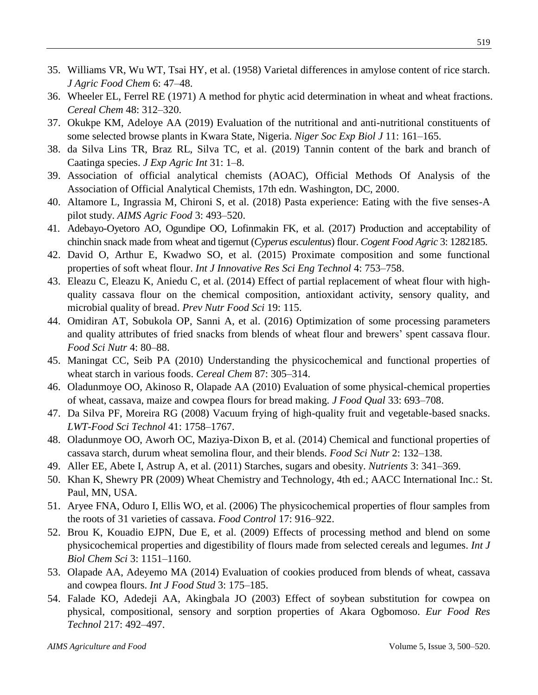- 35. Williams VR, Wu WT, Tsai HY, et al. (1958) Varietal differences in amylose content of rice starch. *J Agric Food Chem* 6: 47–48.
- 36. Wheeler EL, Ferrel RE (1971) A method for phytic acid determination in wheat and wheat fractions. *Cereal Chem* 48: 312–320.
- 37. Okukpe KM, Adeloye AA (2019) Evaluation of the nutritional and anti-nutritional constituents of some selected browse plants in Kwara State, Nigeria. *Niger Soc Exp Biol J* 11: 161–165.
- 38. da Silva Lins TR, Braz RL, Silva TC, et al. (2019) Tannin content of the bark and branch of Caatinga species. *J Exp Agric Int* 31: 1–8.
- 39. Association of official analytical chemists (AOAC), Official Methods Of Analysis of the Association of Official Analytical Chemists, 17th edn. Washington, DC, 2000.
- 40. Altamore L, Ingrassia M, Chironi S, et al. (2018) Pasta experience: Eating with the five senses-A pilot study. *AIMS Agric Food* 3: 493–520.
- 41. Adebayo-Oyetoro AO, Ogundipe OO, Lofinmakin FK, et al. (2017) Production and acceptability of chinchin snack made from wheat and tigernut (*Cyperus esculentus*) flour. *Cogent Food Agric* 3: 1282185.
- 42. David O, Arthur E, Kwadwo SO, et al. (2015) Proximate composition and some functional properties of soft wheat flour. *Int J Innovative Res Sci Eng Technol* 4: 753–758.
- 43. Eleazu C, Eleazu K, Aniedu C, et al. (2014) Effect of partial replacement of wheat flour with highquality cassava flour on the chemical composition, antioxidant activity, sensory quality, and microbial quality of bread. *Prev Nutr Food Sci* 19: 115.
- 44. Omidiran AT, Sobukola OP, Sanni A, et al. (2016) Optimization of some processing parameters and quality attributes of fried snacks from blends of wheat flour and brewers' spent cassava flour. *Food Sci Nutr* 4: 80–88.
- 45. Maningat CC, Seib PA (2010) Understanding the physicochemical and functional properties of wheat starch in various foods. *Cereal Chem* 87: 305–314.
- 46. Oladunmoye OO, Akinoso R, Olapade AA (2010) Evaluation of some physical-chemical properties of wheat, cassava, maize and cowpea flours for bread making. *J Food Qual* 33: 693–708.
- 47. Da Silva PF, Moreira RG (2008) Vacuum frying of high-quality fruit and vegetable-based snacks. *LWT-Food Sci Technol* 41: 1758–1767.
- 48. Oladunmoye OO, Aworh OC, Maziya-Dixon B, et al. (2014) Chemical and functional properties of cassava starch, durum wheat semolina flour, and their blends. *Food Sci Nutr* 2: 132–138.
- 49. Aller EE, Abete I, Astrup A, et al. (2011) Starches, sugars and obesity. *Nutrients* 3: 341–369.
- 50. Khan K, Shewry PR (2009) Wheat Chemistry and Technology, 4th ed.; AACC International Inc.: St. Paul, MN, USA.
- 51. Aryee FNA, Oduro I, Ellis WO, et al. (2006) The physicochemical properties of flour samples from the roots of 31 varieties of cassava. *Food Control* 17: 916–922.
- 52. Brou K, Kouadio EJPN, Due E, et al. (2009) Effects of processing method and blend on some physicochemical properties and digestibility of flours made from selected cereals and legumes. *Int J Biol Chem Sci* 3: 1151–1160.
- 53. Olapade AA, Adeyemo MA (2014) Evaluation of cookies produced from blends of wheat, cassava and cowpea flours. *Int J Food Stud* 3: 175–185.
- 54. Falade KO, Adedeji AA, Akingbala JO (2003) Effect of soybean substitution for cowpea on physical, compositional, sensory and sorption properties of Akara Ogbomoso. *Eur Food Res Technol* 217: 492–497.